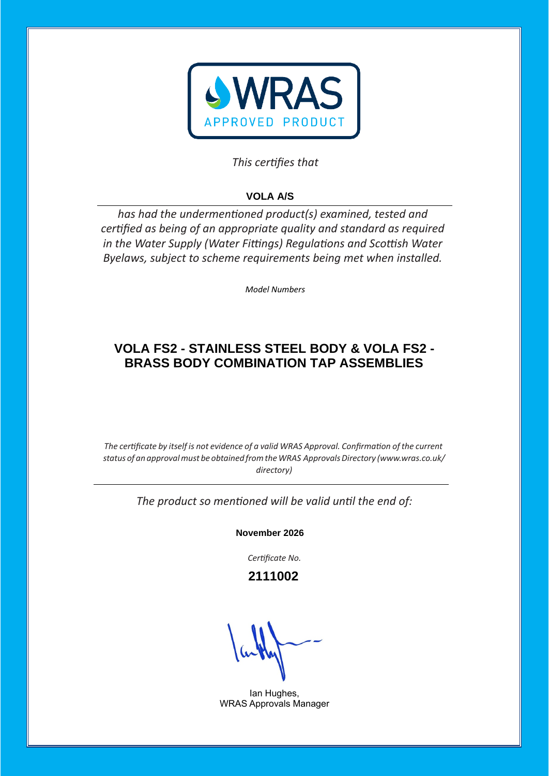

# This certifies that

# **VOLA A/S**

has had the undermentioned product(s) examined, tested and certified as being of an appropriate quality and standard as required *in the Water Supply (Water Fittings) Regulations and Scottish Water Byelaws, subject to scheme requirements being met when installed.* 

*Model Numbers* 

# **VOLA FS2 - STAINLESS STEEL BODY & VOLA FS2 - BRASS BODY COMBINATION TAP ASSEMBLIES**

*The certificate by itself is not evidence of a valid WRAS Approval. Confirmation of the current status of an approvalmust be obtained fromtheWRAS ApprovalsDirectory [\(www.wras.co.uk/](http://www.wras.co.uk/directory)) [directory\)](http://www.wras.co.uk/directory))*

The product so mentioned will be valid until the end of:

**November 2026**

Certificate No.

 **2111002**

Ian Hughes, WRAS Approvals Manager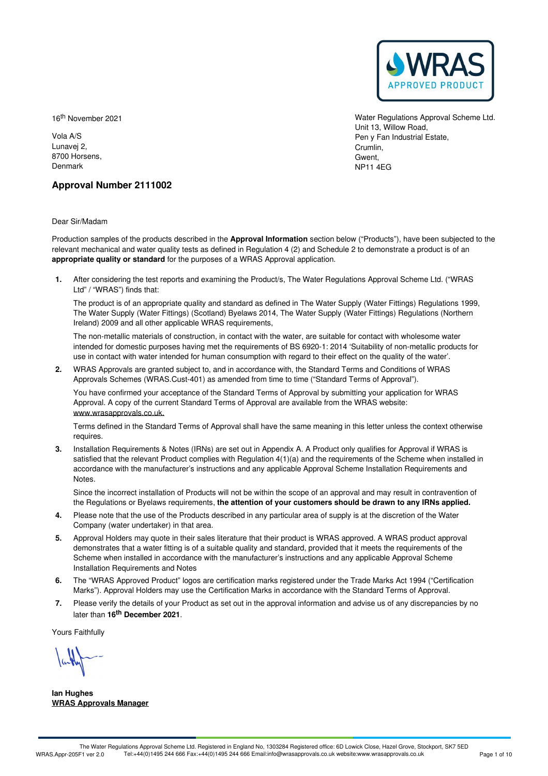

16 th November 2021

Vola A/S Lunavej 2, 8700 Horsens, Denmark

Water Regulations Approval Scheme Ltd. Unit 13, Willow Road, Pen y Fan Industrial Estate, Crumlin, Gwent, NP11 4EG

# **Approval Number 2111002**

Dear Sir/Madam

Production samples of the products described in the **Approval Information** section below ("Products"), have been subjected to the relevant mechanical and water quality tests as defined in Regulation 4 (2) and Schedule 2 to demonstrate a product is of an **appropriate quality or standard** for the purposes of a WRAS Approval application.

After considering the test reports and examining the Product/s, The Water Regulations Approval Scheme Ltd. ("WRAS **1.** Ltd" / "WRAS") finds that:

The product is of an appropriate quality and standard as defined in The Water Supply (Water Fittings) Regulations 1999, The Water Supply (Water Fittings) (Scotland) Byelaws 2014, The Water Supply (Water Fittings) Regulations (Northern Ireland) 2009 and all other applicable WRAS requirements,

The non-metallic materials of construction, in contact with the water, are suitable for contact with wholesome water intended for domestic purposes having met the requirements of BS 6920-1:2014 'Suitability of non-metallic products for use in contact with water intended for human consumption with regard to their effect on the quality of the water'.

WRAS Approvals are granted subject to, and in accordance with, the Standard Terms and Conditions of WRAS **2.** Approvals Schemes (WRAS.Cust-401) as amended from time to time ("Standard Terms of Approval").

You have confirmed your acceptance of the Standard Terms of Approval by submitting your application for WRAS Approval. A copy of the current Standard Terms of Approval are available from the WRAS website: [www.wrasapprovals.co.uk.](https://www.wrasapprovals.co.uk)

Terms defined in the Standard Terms of Approval shall have the same meaning in this letter unless the context otherwise requires.

Installation Requirements & Notes (IRNs) are set out in Appendix A. A Product only qualifies for Approval if WRAS is **3.** satisfied that the relevant Product complies with Regulation  $4(1)(a)$  and the requirements of the Scheme when installed in accordance with the manufacturer's instructions and any applicable Approval Scheme Installation Requirements and Notes.

Since the incorrect installation of Products will not be within the scope of an approval and may result in contravention of the Regulations or Byelaws requirements, **the attention of your customers should be drawn to any IRNs applied.**

- Please note that the use of the Products described in any particular area of supply is at the discretion of the Water **4.** Please note that the use of the Products of Company (water undertaker) in that area.
- 5. Approval Holders may quote in their sales literature that their product is WRAS approved. A WRAS product approval demonstrates that a water fitting is of a suitable quality and standard, provided that it meets the requirements of the Scheme when installed in accordance with the manufacturer's instructions and any applicable Approval Scheme Installation Requirements and Notes
- The "WRAS Approved Product" logos are certification marks registered under the Trade Marks Act 1994 ("Certification 6. The "WRAS Approved Product" logos are certification marks registered under the Trade Marks Act 1994 ("Certification Marks"). Approval. Marks act approval.
- Please verify the details of your Product as set out in the approval information and advise us of any discrepancies by no 7. Please verify the details of your Produ<br>later than **16<sup>th</sup> December 2021**.

Yours Faithfully

**Ian Hughes WRAS Approvals Manager**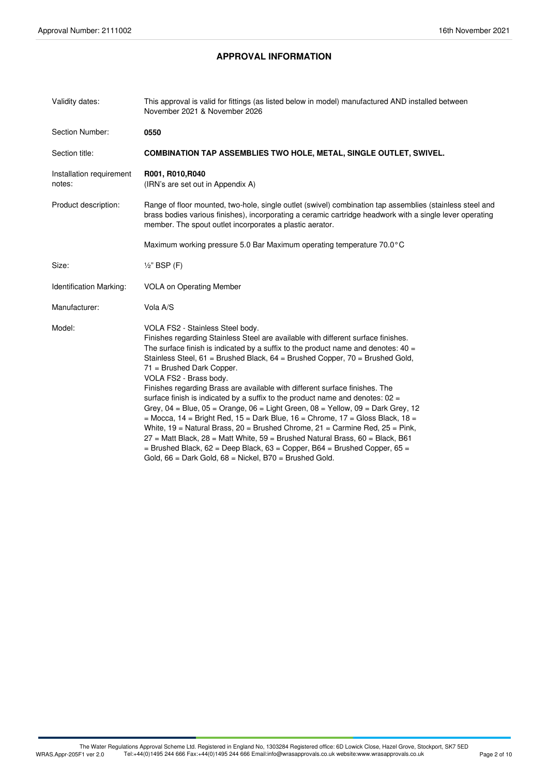# **APPROVAL INFORMATION**

| Validity dates:                    | This approval is valid for fittings (as listed below in model) manufactured AND installed between<br>November 2021 & November 2026                                                                                                                                                                                                                                                                                                                                                                                                                                                                                                                                                                                                                                                                                                                                                                                                                                                                                              |  |
|------------------------------------|---------------------------------------------------------------------------------------------------------------------------------------------------------------------------------------------------------------------------------------------------------------------------------------------------------------------------------------------------------------------------------------------------------------------------------------------------------------------------------------------------------------------------------------------------------------------------------------------------------------------------------------------------------------------------------------------------------------------------------------------------------------------------------------------------------------------------------------------------------------------------------------------------------------------------------------------------------------------------------------------------------------------------------|--|
| Section Number:                    | 0550                                                                                                                                                                                                                                                                                                                                                                                                                                                                                                                                                                                                                                                                                                                                                                                                                                                                                                                                                                                                                            |  |
| Section title:                     | <b>COMBINATION TAP ASSEMBLIES TWO HOLE, METAL, SINGLE OUTLET, SWIVEL.</b>                                                                                                                                                                                                                                                                                                                                                                                                                                                                                                                                                                                                                                                                                                                                                                                                                                                                                                                                                       |  |
| Installation requirement<br>notes: | R001, R010, R040<br>(IRN's are set out in Appendix A)                                                                                                                                                                                                                                                                                                                                                                                                                                                                                                                                                                                                                                                                                                                                                                                                                                                                                                                                                                           |  |
| Product description:               | Range of floor mounted, two-hole, single outlet (swivel) combination tap assemblies (stainless steel and<br>brass bodies various finishes), incorporating a ceramic cartridge headwork with a single lever operating<br>member. The spout outlet incorporates a plastic aerator.                                                                                                                                                                                                                                                                                                                                                                                                                                                                                                                                                                                                                                                                                                                                                |  |
|                                    | Maximum working pressure 5.0 Bar Maximum operating temperature 70.0°C                                                                                                                                                                                                                                                                                                                                                                                                                                                                                                                                                                                                                                                                                                                                                                                                                                                                                                                                                           |  |
| Size:                              | $\frac{1}{2}$ " BSP (F)                                                                                                                                                                                                                                                                                                                                                                                                                                                                                                                                                                                                                                                                                                                                                                                                                                                                                                                                                                                                         |  |
| Identification Marking:            | <b>VOLA on Operating Member</b>                                                                                                                                                                                                                                                                                                                                                                                                                                                                                                                                                                                                                                                                                                                                                                                                                                                                                                                                                                                                 |  |
| Manufacturer:                      | Vola A/S                                                                                                                                                                                                                                                                                                                                                                                                                                                                                                                                                                                                                                                                                                                                                                                                                                                                                                                                                                                                                        |  |
| Model:                             | VOLA FS2 - Stainless Steel body.<br>Finishes regarding Stainless Steel are available with different surface finishes.<br>The surface finish is indicated by a suffix to the product name and denotes: $40 =$<br>Stainless Steel, $61 =$ Brushed Black, $64 =$ Brushed Copper, $70 =$ Brushed Gold,<br>71 = Brushed Dark Copper.<br>VOLA FS2 - Brass body.<br>Finishes regarding Brass are available with different surface finishes. The<br>surface finish is indicated by a suffix to the product name and denotes: 02 =<br>Grey, $04 =$ Blue, $05 =$ Orange, $06 =$ Light Green, $08 =$ Yellow, $09 =$ Dark Grey, 12<br>$=$ Mocca, 14 = Bright Red, 15 = Dark Blue, 16 = Chrome, 17 = Gloss Black, 18 =<br>White, $19$ = Natural Brass, $20$ = Brushed Chrome, $21$ = Carmine Red, $25$ = Pink,<br>27 = Matt Black, 28 = Matt White, 59 = Brushed Natural Brass, 60 = Black, B61<br>$=$ Brushed Black, 62 = Deep Black, 63 = Copper, B64 = Brushed Copper, 65 =<br>Gold, $66$ = Dark Gold, $68$ = Nickel, B70 = Brushed Gold. |  |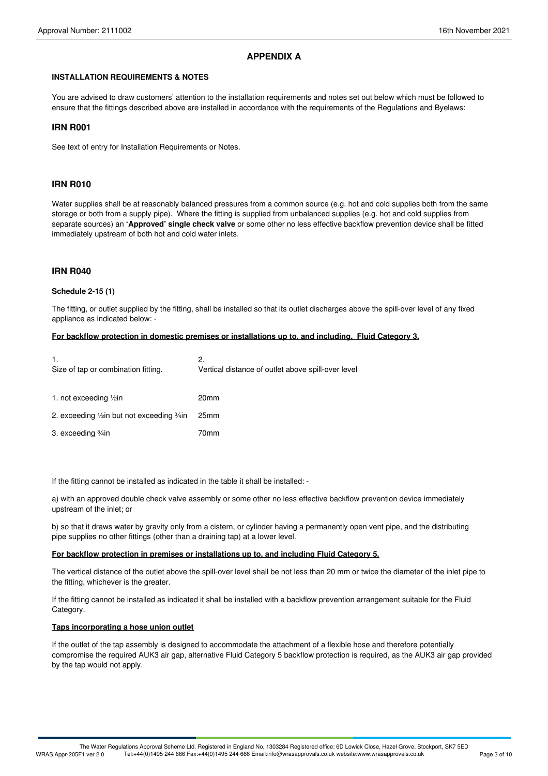### **APPENDIX A**

#### **INSTALLATION REQUIREMENTS & NOTES**

You are advised to draw customers' attention to the installation requirements and notes set out below which must be followed to ensure that the fittings described above are installed in accordance with the requirements of the Regulations and Byelaws:

#### **IRN R001**

See text of entry for Installation Requirements or Notes.

#### **IRN R010**

Water supplies shall be at reasonably balanced pressures from a common source (e.g. hot and cold supplies both from the same storage or both from a supply pipe). Where the fitting is supplied from unbalanced supplies (e.g. hot and cold supplies from separate sources) an **'Approved' single check valve** or some other no less effective backflow prevention device shall be fitted immediately upstream of both hot and cold water inlets.

#### **IRN R040**

#### **Schedule 2-15 (1)**

The fitting, or outlet supplied by the fitting, shall be installed so that its outlet discharges above the spill-over level of any fixed appliance as indicated below: -

#### **For backflow protection in domestic premises or installations up to, and including, Fluid Category 3.**

| 1.<br>Size of tap or combination fitting.    | 2.<br>Vertical distance of outlet above spill-over level |
|----------------------------------------------|----------------------------------------------------------|
| 1. not exceeding $\frac{1}{2}$ in            | 20 <sub>mm</sub>                                         |
| 2. exceeding 1/2 in but not exceeding 3/4 in | 25 <sub>mm</sub>                                         |
| 3. exceeding <sup>3</sup> / <sub>4</sub> in  | 70mm                                                     |

If the fitting cannot be installed as indicated in the table it shall be installed: -

a) with an approved double check valve assembly or some other no less effective backflow prevention device immediately upstream of the inlet; or

b) so that it draws water by gravity only from a cistern, or cylinder having a permanently open vent pipe, and the distributing pipe supplies no other fittings (other than a draining tap) at a lower level.

#### **For backflow protection in premises or installations up to, and including Fluid Category 5.**

The vertical distance of the outlet above the spill-over level shall be not less than 20 mm or twice the diameter of the inlet pipe to the fitting, whichever is the greater.

If the fitting cannot be installed as indicated it shall be installed with a backflow prevention arrangement suitable for the Fluid Category.

#### **Taps incorporating a hose union outlet**

If the outlet of the tap assembly is designed to accommodate the attachment of a flexible hose and therefore potentially compromise the required AUK3 air gap, alternative Fluid Category 5 backflow protection is required, as the AUK3 air gap provided by the tap would not apply.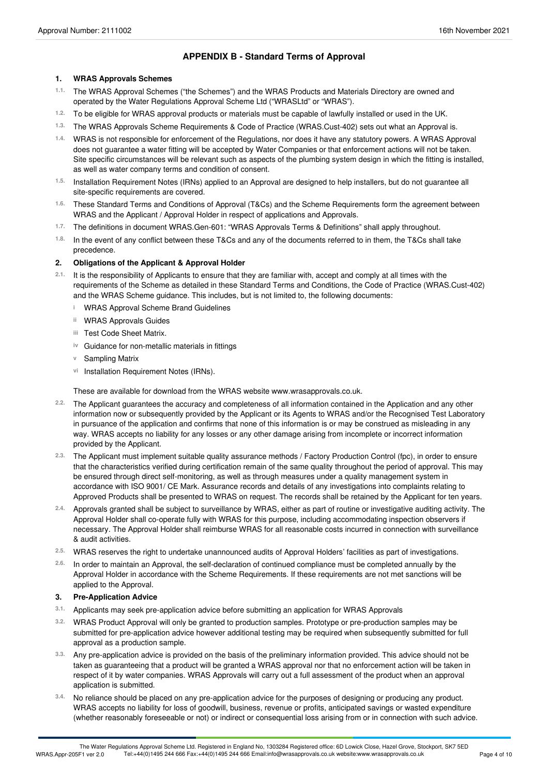# **APPENDIX B - Standard Terms of Approval**

#### **1. WRAS Approvals Schemes**

- The WRAS Approval Schemes ("the Schemes") and the WRAS Products and Materials Directory are owned and operated by the Water Regulations Approval Scheme Ltd ("WRASLtd" or "WRAS"). **1.1.**
- 1.2. To be eligible for WRAS approval products or materials must be capable of lawfully installed or used in the UK.
- The WRAS Approvals Scheme Requirements & Code of Practice (WRAS.Cust-402) sets out what an Approval is. **1.3.**
- WRAS is not responsible for enforcement of the Regulations, nor does it have any statutory powers. A WRAS Approval **1.4.** does not guarantee a water fitting will be accepted by Water Companies or that enforcement actions will not be taken. Site specific circumstances will be relevant such as aspects of the plumbing system design in which the fitting is installed, as well as water company terms and condition of consent.
- <sup>1.5.</sup> Installation Requirement Notes (IRNs) applied to an Approval are designed to help installers, but do not guarantee all<br>site-specific requirements are covered.
- These Standard Terms and Conditions of Approval (T&Cs) and the Scheme Requirements form the agreement between WRAS and the Applicant / Approval Holder in respect of applications and Approvals. **1.6.**
- The definitions in document WRAS.Gen-601: "WRAS Approvals Terms & Definitions" shall apply throughout. **1.7.**
- <sup>1.8.</sup> In the event of any conflict between these T&Cs and any of the documents referred to in them, the T&Cs shall take<br>precedence.

#### **2. Obligations of the Applicant & Approval Holder**

- 2.1. It is the responsibility of Applicants to ensure that they are familiar with, accept and comply at all times with the requirements of the Scheme as detailed in these Standard Terms and Conditions, the Code of Practice (WRAS.Cust-402) and the WRAS Scheme guidance. This includes, but is not limited to, the following documents:
	- **i** WRAS Approval Scheme Brand Guidelines
	- **ii** WRAS Approvals Guides
	- Test Code Sheet Matrix. **iii**
	- **iv** Guidance for non-metallic materials in fittings
	- **v** Sampling Matrix
	- vi Installation Requirement Notes (IRNs).

These are available for download from the WRAS website www.wrasapprovals.co.uk.

- The Applicant guarantees the accuracy and completeness of all information contained in the Application and any other information now or subsequently provided by the Applicant or its Agents to WRAS and/or the Recognised Test Laboratory in pursuance of the application and confirms that none of this information is or may be construed as misleading in any way. WRAS accepts no liability for any losses or any other damage arising from incomplete or incorrect information provided by the Applicant. **2.2.**
- The Applicant must implement suitable quality assurance methods / Factory Production Control (fpc), in order to ensure **2.3.** that the characteristics verified during certification remain of the same quality throughout the period of approval. This may be ensured through direct self-monitoring, as well as through measures under a quality management system in accordance with ISO 9001/ CE Mark. Assurance records and details of any investigations into complaints relating to Approved Products shall be presented to WRAS on request. The records shall be retained by the Applicant for ten years.
- Approvals granted shall be subject to surveillance by WRAS, either as part of routine or investigative auditing activity. The Approval Holder shall co-operate fully with WRAS for this purpose, including accommodating inspection observers if necessary. The Approval Holder shall reimburse WRAS for all reasonable costs incurred in connection with surveillance & audit activities. **2.4.**
- WRAS reserves the right to undertake unannounced audits of Approval Holders' facilities as part of investigations. **2.5.**
- In order to maintain an Approval, the self-declaration of continued compliance must be completed annually by the Approval Holder in accordance with the Scheme Requirements. If these requirements are not met sanctions will be applied to the Approval. **2.6.**

#### **3. Pre-Application Advice**

- **3.1.** Applicants may seek pre-application advice before submitting an application for WRAS Approvals
- WRAS Product Approval will only be granted to production samples. Prototype or pre-production samples may be submitted for pre-application advice however additional testing may be required when subsequently submitted for full approval as a production sample. **3.2.**
- Any pre-application advice is provided on the basis of the preliminary information provided. This advice should not be taken as guaranteeing that a product will be granted a WRAS approval nor that no enforcement action will be taken in respect of it by water companies. WRAS Approvals will carry out a full assessment of the product when an approval application is submitted. **3.3.**
- No reliance should be placed on any pre-application advice for the purposes of designing or producing any product. WRAS accepts no liability for loss of goodwill, business, revenue or profits, anticipated savings or wasted expenditure (whether reasonably foreseeable or not) or indirect or consequential loss arising from or in connection with such advice. **3.4.**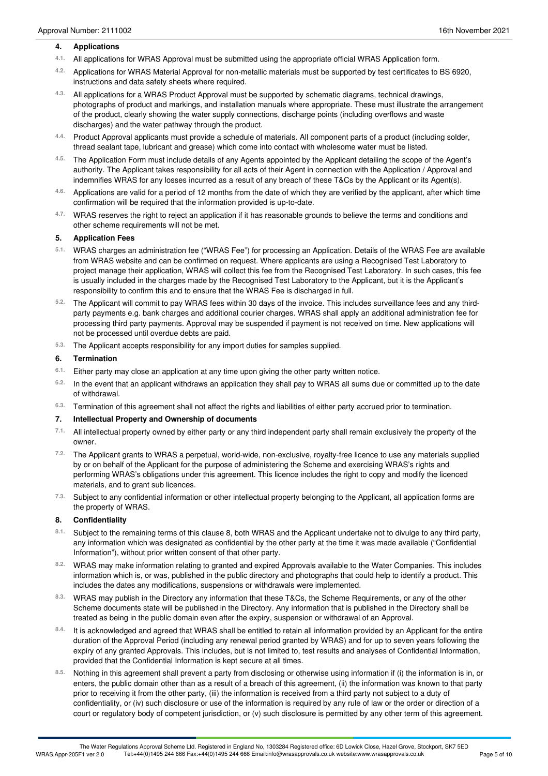#### **4. Applications**

- All applications for WRAS Approval must be submitted using the appropriate officialWRAS Application form. **4.1.**
- Applications for WRAS Material Approval for non-metallic materials must be supported by test certificates to BS 6920, instructions and data safety sheets where required. **4.2.**
- All applications for a WRAS Product Approval must be supported by schematic diagrams, technical drawings, photographs of product and markings, and installation manuals where appropriate. These must illustrate the arrangement of the product, clearly showing the water supply connections, discharge points (including overflows and waste discharges) and the water pathway through the product. **4.3.**
- Product Approval applicants must provide a schedule of materials. All component parts of a product (including solder, thread sealant tape, lubricant and grease) which come into contact with wholesome water must be listed. **4.4.**
- The Application Form must include details of any Agents appointed by the Applicant detailing the scope of the Agent's **4.5.** authority. The Applicant takes responsibility for all acts of their Agent in connection with the Application / Approval and indemnifies WRAS for any losses incurred as a result of any breach of these T&Cs by the Applicant or its Agent(s).
- Applications are valid for a period of 12 months from the date of which they are verified by the applicant, after which time 4.6. Applications are valid for a period of 12 months from the date of which t confirmation will be required that the information provided is up-to-date.
- WRAS reserves the right to reject an application if it has reasonable grounds to believe the terms and conditions and other scheme requirements will not be met. **4.7.**

#### **5. Application Fees**

- WRAS charges an administration fee ("WRAS Fee") for processing an Application. Details of the WRAS Fee are available **5.1.** from WRAS website and can be confirmed on request. Where applicants are using a Recognised Test Laboratory to project manage their application, WRAS will collect this fee from the Recognised Test Laboratory. In such cases, this fee is usually included in the charges made by the Recognised Test Laboratory to the Applicant, but it is the Applicant's responsibility to confirm this and to ensure that the WRAS Fee is discharged in full.
- The Applicant will commit to pay WRAS fees within 30 days of the invoice. This includes surveillance fees and any third- **5.2.** party payments e.g. bank charges and additional courier charges. WRAS shall apply an additional administration fee for processing third party payments. Approval may be suspended if payment is not received on time. New applications will not be processed until overdue debts are paid.
- The Applicant accepts responsibility for any import duties for samples supplied. **5.3.**

#### **6. Termination**

- Either party may close an application at any time upon giving the other party written notice. **6.1.**
- <sup>6.2.</sup> In the event that an applicant withdraws an application they shall pay to WRAS all sums due or committed up to the date<br>of withdrawal.
- Termination of this agreement shall not affect the rights and liabilities of either party accrued prior to termination. **6.3.**

#### **7. Intellectual Property and Ownership of documents**

- All intellectual property owned by either party or any third independent party shall remain exclusively the property of the owner. **7.1.**
- The Applicant grants to WRAS a perpetual, world-wide, non-exclusive, royalty-free licence to use any materials supplied **7.2.** by or on behalf of the Applicant for the purpose of administering the Scheme and exercising WRAS's rights and performing WRAS's obligations under this agreement. This licence includes the right to copy and modify the licenced materials, and to grant sub licences.
- <sup>7.3.</sup> Subject to any confidential information or other intellectual property belonging to the Applicant, all application forms are<br>the property of WRAS.

#### **8. Confidentiality**

- 8.1. Subject to the remaining terms of this clause 8, both WRAS and the Applicant undertake not to divulge to any third party, any information which was designated as confidential by the other party at the time it was made available ("Confidential Information"), without prior written consent of that other party.
- WRAS may make information relating to granted and expired Approvals available to the Water Companies. This includes information which is, or was, published in the public directory and photographs that could help to identify a product. This includes the dates any modifications, suspensions or withdrawals were implemented. **8.2.**
- WRAS may publish in the Directory any information that these T&Cs, the Scheme Requirements, or any of the other **8.3.** Scheme documents state will be published in the Directory. Any information that is published in the Directory shall be treated as being in the public domain even after the expiry, suspension or withdrawal of an Approval.
- It is acknowledged and agreed that WRAS shall be entitled to retain all information provided by an Applicant for the entire duration of the Approval Period (including any renewal period granted by WRAS) and for up to seven years following the expiry of any granted Approvals. This includes, but is not limited to, test results and analyses of Confidential Information, provided that the Confidential Information is kept secure at all times. **8.4.**
- Nothing in this agreement shall prevent a party from disclosing or otherwise using information if (i) the information is in, or enters, the public domain other than as a result of a breach of this agreement, (ii) the information was known to that party prior to receiving it from the other party, (iii) the information is received from a third party not subject to a duty of confidentiality, or (iv) such disclosure or use of the information is required by any rule of law or the order or direction of a court or regulatory body of competent jurisdiction, or (v) such disclosure is permitted by any other term of this agreement. **8.5.**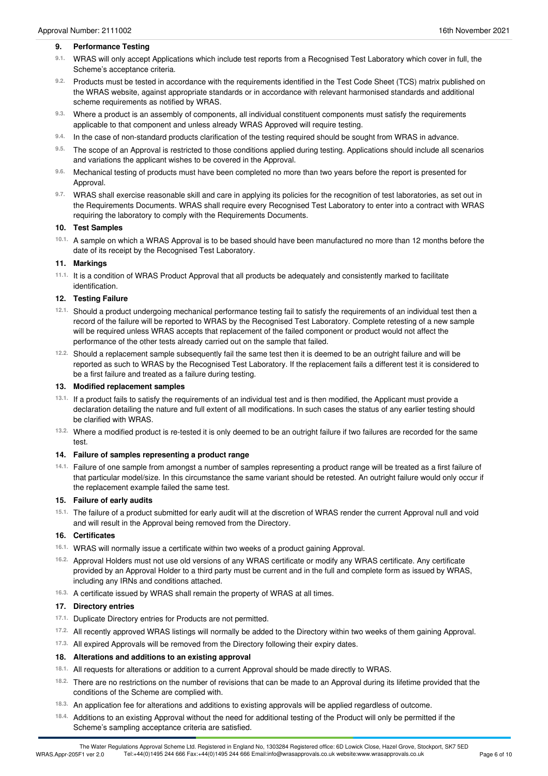#### **9. Performance Testing**

- <sup>9.1.</sup> WRAS will only accept Applications which include test reports from a Recognised Test Laboratory which cover in full, the<br>Scheme's acceptance criteria.
- 9.2. Products must be tested in accordance with the requirements identified in the Test Code Sheet (TCS) matrix published on the WRAS website, against appropriate standards or in accordance with relevant harmonised standards and additional scheme requirements as notified by WRAS.
- Where a product is an assembly of components, all individual constituent components must satisfy the requirements 9.3. Where a product is an assembly of components, all individual constituent components applicable to that component and unless already WRAS Approved will require testing.
- In the case of non-standard products clarification of the testing required should be sought from WRAS in advance. **9.4.**
- The scope of an Approval is restricted to those conditions applied during testing. Applications should include all scenarios 9.5. The scope of an Approval is restricted to those conditions applied and variations the applicant wishes to be covered in the Approval.
- Mechanical testing of products must have been completed no more than two years before the report is presented for Approval. **9.6.**
- WRAS shall exercise reasonable skill and care in applying its policies for the recognition of test laboratories, as set out in **9.7.** the Requirements Documents. WRAS shall require every Recognised Test Laboratory to enter into a contract with WRAS requiring the laboratory to comply with the Requirements Documents.

#### **10. Test Samples**

10.1. A sample on which a WRAS Approval is to be based should have been manufactured no more than 12 months before the date of its receipt by the Recognised Test Laboratory.

#### **11. Markings**

<sup>11.1.</sup> It is a condition of WRAS Product Approval that all products be adequately and consistently marked to facilitate<br>identification.

#### **12. Testing Failure**

- Should a product undergoing mechanical performance testing fail to satisfy the requirements of an individual test then a **12.1.** record of the failure will be reported to WRAS by the Recognised Test Laboratory. Complete retesting of a new sample will be required unless WRAS accepts that replacement of the failed component or product would not affect the performance of the other tests already carried out on the sample that failed.
- <sup>12.2.</sup> Should a replacement sample subsequently fail the same test then it is deemed to be an outright failure and will be reported as such to WRAS by the Recognised Test Laboratory. If the replacement fails a different test it is considered to be a first failure and treated as a failure during testing.

#### **13. Modified replacement samples**

- <sup>13.1.</sup> If a product fails to satisfy the requirements of an individual test and is then modified, the Applicant must provide a declaration detailing the nature and full extent of all modifications. In such cases the status of any earlier testing should be clarified with WRAS.
- Where a modified product is re-tested it is only deemed to be an outright failure if two failures are recorded for the same test. **13.2.**

#### **14. Failure of samples representing a product range**

Failure of one sample from amongst a number of samples representing a product range will be treated as a first failure of **14.1.** that particular model/size. In this circumstance the same variant should be retested. An outright failure would only occur if the replacement example failed the same test.

#### **15. Failure of early audits**

15.1. The failure of a product submitted for early audit will at the discretion of WRAS render the current Approval null and void and will result in the Approval being removed from the Directory.

#### **16. Certificates**

- WRAS will normally issue a certificate within two weeks of a product gaining Approval. **16.1.**
- <sup>16.2.</sup> Approval Holders must not use old versions of any WRAS certificate or modify any WRAS certificate. Any certificate provided by an Approval Holder to a third party must be current and in the full and complete form as issued by WRAS, including any IRNs and conditions attached.
- A certificate issued by WRAS shall remain the property of WRAS at all times. **16.3.**

#### **17. Directory entries**

- 17.1. Duplicate Directory entries for Products are not permitted.
- All recently approved WRAS listings will normally be added to the Directory within two weeks of them gaining Approval. **17.2.**
- <sup>17.3.</sup> All expired Approvals will be removed from the Directory following their expiry dates.

#### **18. Alterations and additions to an existing approval**

- 18.1. All requests for alterations or addition to a current Approval should be made directly to WRAS.
- There are no restrictions on the number of revisions that can be made to an Approval during its lifetime provided that the conditions of the Scheme are complied with. **18.2.**
- An application fee for alterations and additions to existing approvals will be applied regardless of outcome. **18.3.**
- Additions to an existing Approval without the need for additional testing of the Product will only be permitted if the Scheme's sampling acceptance criteria are satisfied. **18.4.**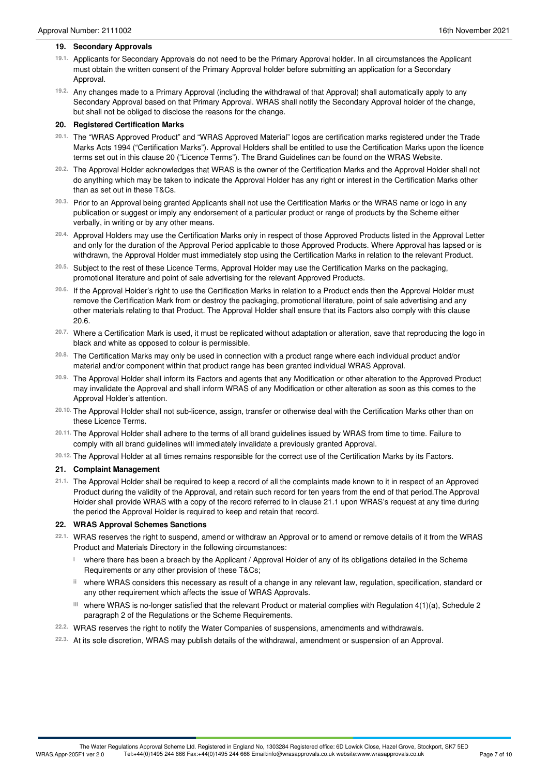#### **19. Secondary Approvals**

- 19.1. Applicants for Secondary Approvals do not need to be the Primary Approval holder. In all circumstances the Applicant must obtain the written consent of the Primary Approval holder before submitting an application for a Secondary Approval.
- Any changes made to a Primary Approval (including the withdrawal of that Approval) shall automatically apply to any **19.2.** Secondary Approval based on that Primary Approval. WRAS shall notify the Secondary Approval holder of the change, but shall not be obliged to disclose the reasons for the change.

#### **20. Registered Certification Marks**

- <sup>20.1.</sup> The "WRAS Approved Product" and "WRAS Approved Material" logos are certification marks registered under the Trade Marks Acts 1994 ("Certification Marks"). Approval Holders shall be entitled to use the Certification Marks upon the licence terms set out in this clause 20 ("Licence Terms"). The Brand Guidelines can be found on the WRAS Website.
- The Approval Holder acknowledges that WRAS is the owner of the Certification Marks and the Approval Holder shall not **20.2.** do anything which may be taken to indicate the Approval Holder has any right or interest in the Certification Marks other than as set out in these T&Cs.
- Prior to an Approval being granted Applicants shall not use the Certification Marks or the WRAS name or logo in any **20.3.** publication or suggest or imply any endorsement of a particular product or range of products by the Scheme either verbally, in writing or by any other means.
- <sup>20.4.</sup> Approval Holders may use the Certification Marks only in respect of those Approved Products listed in the Approval Letter and only for the duration of the Approval Period applicable to those Approved Products. Where Approval has lapsed or is withdrawn, the Approval Holder must immediately stop using the Certification Marks in relation to the relevant Product.
- Subject to the rest of these Licence Terms, Approval Holder may use the Certification Marks on the packaging, promotional literature and point of sale advertising for the relevant Approved Products. **20.5.**
- <sup>20.6.</sup> If the Approval Holder's right to use the Certification Marks in relation to a Product ends then the Approval Holder must remove the Certification Mark from or destroy the packaging, promotional literature, point of sale advertising and any other materials relating to that Product. The Approval Holder shall ensure that its Factors also comply with this clause 20.6.
- <sup>20.7.</sup> Where a Certification Mark is used, it must be replicated without adaptation or alteration, save that reproducing the logo in<br>black and white as opposed to colour is permissible.
- The Certification Marks may only be used in connection with a product range where each individual product and/or material and/or component within that product range has been granted individual WRAS Approval. **20.8.**
- The Approval Holder shall inform its Factors and agents that any Modification or other alteration to the Approved Product **20.9.** may invalidate the Approval and shall inform WRAS of any Modification or other alteration as soon as this comes to the Approval Holder's attention.
- The Approval Holder shall not sub-licence, assign, transfer or otherwise deal with the Certification Marks other than on these Licence Terms. **20.10.**
- <sup>20.11.</sup> The Approval Holder shall adhere to the terms of all brand guidelines issued by WRAS from time to time. Failure to<br>comply with all brand guidelines will immediately invalidate a previously granted Approval.
- The Approval Holder at all times remains responsible for the correct use of the Certification Marks by its Factors. **20.12.**

#### **21. Complaint Management**

21.1. The Approval Holder shall be required to keep a record of all the complaints made known to it in respect of an Approved Product during the validity of the Approval, and retain such record for ten years from the end of that period.The Approval Holder shall provide WRAS with a copy of the record referred to in clause 21.1 upon WRAS's request at any time during the period the Approval Holder is required to keep and retain that record.

#### **22. WRAS Approval Schemes Sanctions**

- WRAS reserves the right to suspend, amend or withdraw an Approval or to amend or remove details of it from the WRAS Product and Materials Directory in the following circumstances: **22.1.**
	- where there has been a breach by the Applicant / Approval Holder of any of its obligations detailed in the Scheme **i** Requirements or any other provision of these T&Cs;
	- where WRAS considers this necessary as result of a change in any relevant law, regulation, specification, standard or **ii** any other requirement which affects the issue of WRAS Approvals.
	- where WRAS is no-longer satisfied that the relevant Product or material complies with Regulation 4(1)(a), Schedule 2 **iii** paragraph 2 of the Regulations or the Scheme Requirements.
- WRAS reserves the right to notify the Water Companies of suspensions, amendments and withdrawals. **22.2.**
- At its sole discretion, WRAS may publish details of the withdrawal, amendment or suspension of an Approval. **22.3.**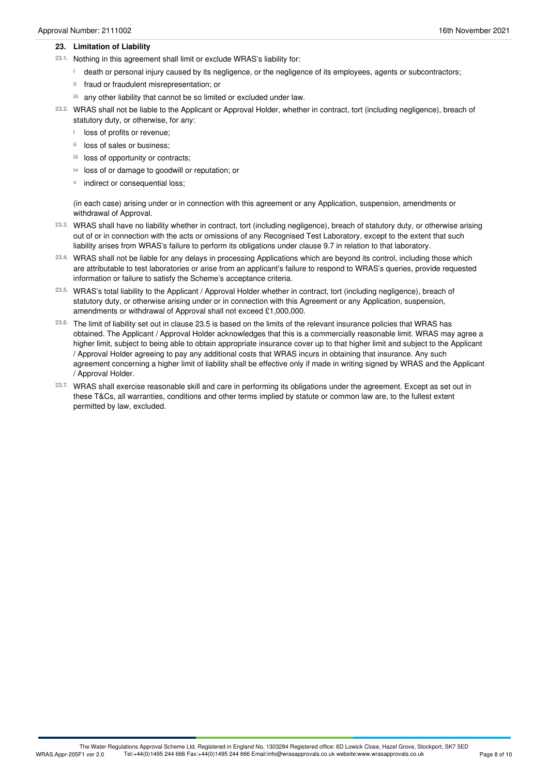#### **23. Limitation of Liability**

- 23.1. Nothing in this agreement shall limit or exclude WRAS's liability for:
	- death or personal injury caused by its negligence, or the negligence of its employees, agents or subcontractors; **i**
	- ii fraud or fraudulent misrepresentation; or
	- any other liability that cannot be so limited or excluded under law. **iii**

WRAS shall not be liable to the Applicant or Approval Holder, whether in contract, tort (including negligence), breach of **23.2.** statutory duty, or otherwise, for any:

- **i** loss of profits or revenue;
- <sup>ii</sup> loss of sales or business;
- iii loss of opportunity or contracts;
- iv loss of or damage to goodwill or reputation; or
- **v** indirect or consequential loss;

(in each case) arising under or in connection with this agreement or any Application, suspension, amendments or withdrawal of Approval.

- WRAS shall have no liability whether in contract, tort (including negligence), breach of statutory duty, or otherwise arising **23.3.** out of or in connection with the acts or omissions of any Recognised Test Laboratory, except to the extent that such liability arises from WRAS's failure to perform its obligations under clause 9.7 in relation to that laboratory.
- WRAS shall not be liable for any delays in processing Applications which are beyond its control, including those which **23.4.** are attributable to test laboratories or arise from an applicant's failure to respond to WRAS's queries, provide requested information or failure to satisfy the Scheme's acceptance criteria.
- WRAS's total liability to the Applicant / Approval Holder whether in contract, tort (including negligence), breach of **23.5.** statutory duty, or otherwise arising under or in connection with this Agreement or any Application, suspension, amendments or withdrawal of Approval shall not exceed £1,000,000.
- The limit of liability set out in clause 23.5 is based on the limits of the relevant insurance policies that WRAS has **23.6.** obtained. The Applicant / Approval Holder acknowledges that this is a commercially reasonable limit. WRAS may agree a higher limit, subject to being able to obtain appropriate insurance cover up to that higher limit and subject to the Applicant / Approval Holder agreeing to pay any additional costs that WRAS incurs in obtaining that insurance. Any such agreement concerning a higher limit of liability shall be effective only if made in writing signed by WRAS and the Applicant / Approval Holder.
- WRAS shall exercise reasonable skill and care in performing its obligations under the agreement. Except as set out in **23.7.** these T&Cs, all warranties, conditions and other terms implied by statute or common law are, to the fullest extent permitted by law, excluded.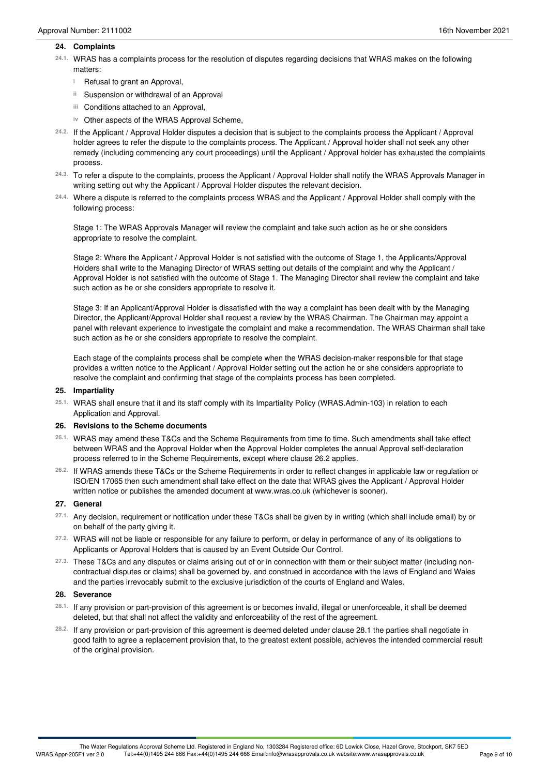#### **24. Complaints**

- WRAS has a complaints process for the resolution of disputes regarding decisions that WRAS makes on the following matters: **24.1.**
	- <sup>i</sup> Refusal to grant an Approval,
	- Suspension or withdrawal of an Approval **ii**
	- Conditions attached to an Approval, **iii**
	- iv Other aspects of the WRAS Approval Scheme,
- If the Applicant / Approval Holder disputes a decision that is subject to the complaints process the Applicant / Approval **24.2.** holder agrees to refer the dispute to the complaints process. The Applicant / Approval holder shall not seek any other remedy (including commencing any court proceedings) until the Applicant / Approval holder has exhausted the complaints process.
- To refer a dispute to the complaints, process the Applicant / Approval Holder shall notify the WRAS Approvals Manager in writing setting out why the Applicant / Approval Holder disputes the relevant decision. **24.3.**
- Where a dispute is referred to the complaints process WRAS and the Applicant / Approval Holder shall comply with the **24.4.** following process:

Stage 1: The WRAS Approvals Manager will review the complaint and take such action as he or she considers appropriate to resolve the complaint.

Stage 2: Where the Applicant / Approval Holder is not satisfied with the outcome of Stage 1, the Applicants/Approval Holders shall write to the Managing Director of WRAS setting out details of the complaint and why the Applicant / Approval Holder is not satisfied with the outcome of Stage 1. The Managing Director shall review the complaint and take such action as he or she considers appropriate to resolve it.

Stage 3: If an Applicant/Approval Holder is dissatisfied with the way a complaint has been dealt with by the Managing Director, the Applicant/Approval Holder shall request a review by the WRAS Chairman. The Chairman may appoint a panel with relevant experience to investigate the complaint and make a recommendation. The WRAS Chairman shall take such action as he or she considers appropriate to resolve the complaint.

Each stage of the complaints process shall be complete when the WRAS decision-maker responsible for that stage provides a written notice to the Applicant / Approval Holder setting out the action he or she considers appropriate to resolve the complaint and confirming that stage of the complaints process has been completed.

#### **25. Impartiality**

WRAS shall ensure that it and its staff comply with its Impartiality Policy (WRAS.Admin-103) in relation to each Application and Approval. **25.1.**

#### **26. Revisions to the Scheme documents**

- WRAS may amend these T&Cs and the Scheme Requirements from time to time. Such amendments shall take effect **26.1.** between WRAS and the Approval Holder when the Approval Holder completes the annual Approval self-declaration process referred to in the Scheme Requirements, except where clause 26.2 applies.
- If WRAS amends these T&Cs or the Scheme Requirements in order to reflect changes in applicable law or regulation or **26.2.** ISO/EN 17065 then such amendment shall take effect on the date that WRAS gives the Applicant / Approval Holder written notice or publishes the amended document at www.wras.co.uk (whichever is sooner).

#### **27. General**

- Any decision, requirement or notification under these T&Cs shall be given by in writing (which shall include email) by or on behalf of the party giving it. **27.1.**
- 27.2. WRAS will not be liable or responsible for any failure to perform, or delay in performance of any of its obligations to Applicants or Approval Holders that is caused by an Event Outside Our Control. **27.2.**
- These T&Cs and any disputes or claims arising out of or in connection with them or their subject matter (including non- **27.3.** contractual disputes or claims) shall be governed by, and construed in accordance with the laws of England and Wales and the parties irrevocably submit to the exclusive jurisdiction of the courts of England and Wales.

#### **28. Severance**

- <sup>28.1.</sup> If any provision or part-provision of this agreement is or becomes invalid, illegal or unenforceable, it shall be deemed<br>deleted, but that shall not affect the validity and enforceability of the rest of the agreeme
- If any provision or part-provision of this agreement is deemed deleted under clause 28.1 the parties shall negotiate in **28.2.** good faith to agree a replacement provision that, to the greatest extent possible, achieves the intended commercial result of the original provision.